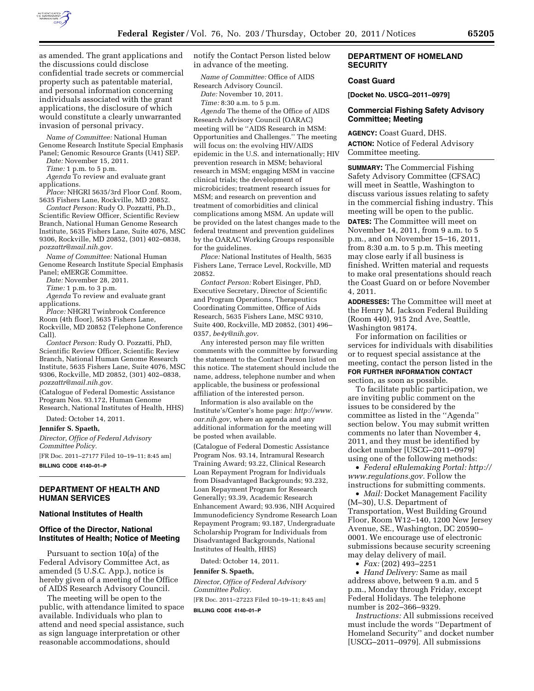

as amended. The grant applications and the discussions could disclose confidential trade secrets or commercial property such as patentable material, and personal information concerning individuals associated with the grant applications, the disclosure of which would constitute a clearly unwarranted invasion of personal privacy.

*Name of Committee:* National Human Genome Research Institute Special Emphasis Panel; Genomic Resource Grants (U41) SEP.

*Date:* November 15, 2011.

*Time:* 1 p.m. to 5 p.m.

*Agenda* To review and evaluate grant applications.

*Place:* NHGRI 5635/3rd Floor Conf. Room, 5635 Fishers Lane, Rockville, MD 20852.

*Contact Person:* Rudy O. Pozzatti, Ph.D., Scientific Review Officer, Scientific Review Branch, National Human Genome Research Institute, 5635 Fishers Lane, Suite 4076, MSC 9306, Rockville, MD 20852, (301) 402–0838, *[pozzattr@mail.nih.gov.](mailto:pozzattr@mail.nih.gov)* 

*Name of Committee:* National Human Genome Research Institute Special Emphasis Panel; eMERGE Committee.

*Date:* November 28, 2011.

*Time:* 1 p.m. to 3 p.m.

*Agenda* To review and evaluate grant applications.

*Place:* NHGRI Twinbrook Conference Room (4th floor), 5635 Fishers Lane, Rockville, MD 20852 (Telephone Conference Call).

*Contact Person:* Rudy O. Pozzatti, PhD, Scientific Review Officer, Scientific Review Branch, National Human Genome Research Institute, 5635 Fishers Lane, Suite 4076, MSC 9306, Rockville, MD 20852, (301) 402–0838, *[pozzattr@mail.nih.gov.](mailto:pozzattr@mail.nih.gov)* 

(Catalogue of Federal Domestic Assistance Program Nos. 93.172, Human Genome Research, National Institutes of Health, HHS)

Dated: October 14, 2011.

**Jennifer S. Spaeth,** 

*Director, Office of Federal Advisory Committee Policy.* 

[FR Doc. 2011–27177 Filed 10–19–11; 8:45 am] **BILLING CODE 4140–01–P** 

# **DEPARTMENT OF HEALTH AND HUMAN SERVICES**

# **National Institutes of Health**

### **Office of the Director, National Institutes of Health; Notice of Meeting**

Pursuant to section 10(a) of the Federal Advisory Committee Act, as amended (5 U.S.C. App.), notice is hereby given of a meeting of the Office of AIDS Research Advisory Council.

The meeting will be open to the public, with attendance limited to space available. Individuals who plan to attend and need special assistance, such as sign language interpretation or other reasonable accommodations, should

notify the Contact Person listed below in advance of the meeting.

*Name of Committee:* Office of AIDS Research Advisory Council.

*Date:* November 10, 2011.

*Time:* 8:30 a.m. to 5 p.m. *Agenda* The theme of the Office of AIDS Research Advisory Council (OARAC) meeting will be ''AIDS Research in MSM: Opportunities and Challenges.'' The meeting will focus on: the evolving HIV/AIDS epidemic in the U.S. and internationally; HIV prevention research in MSM; behavioral research in MSM; engaging MSM in vaccine clinical trials; the development of microbicides; treatment research issues for MSM; and research on prevention and treatment of comorbidities and clinical complications among MSM. An update will be provided on the latest changes made to the federal treatment and prevention guidelines by the OARAC Working Groups responsible for the guidelines.

*Place:* National Institutes of Health, 5635 Fishers Lane, Terrace Level, Rockville, MD 20852.

*Contact Person:* Robert Eisinger, PhD, Executive Secretary, Director of Scientific and Program Operations, Therapeutics Coordinating Committee, Office of Aids Research, 5635 Fishers Lane, MSC 9310, Suite 400, Rockville, MD 20852, (301) 496– 0357, *[be4y@nih.gov.](mailto:be4y@nih.gov)* 

Any interested person may file written comments with the committee by forwarding the statement to the Contact Person listed on this notice. The statement should include the name, address, telephone number and when applicable, the business or professional affiliation of the interested person.

Information is also available on the Institute's/Center's home page: *[http://www.](http://www.oar.nih.gov) [oar.nih.gov,](http://www.oar.nih.gov)* where an agenda and any additional information for the meeting will be posted when available.

(Catalogue of Federal Domestic Assistance Program Nos. 93.14, Intramural Research Training Award; 93.22, Clinical Research Loan Repayment Program for Individuals from Disadvantaged Backgrounds; 93.232, Loan Repayment Program for Research Generally; 93.39, Academic Research Enhancement Award; 93.936, NIH Acquired Immunodeficiency Syndrome Research Loan Repayment Program; 93.187, Undergraduate Scholarship Program for Individuals from Disadvantaged Backgrounds, National Institutes of Health, HHS)

Dated: October 14, 2011.

#### **Jennifer S. Spaeth,**

*Director, Office of Federal Advisory Committee Policy.* 

[FR Doc. 2011–27223 Filed 10–19–11; 8:45 am]

**BILLING CODE 4140–01–P** 

# **DEPARTMENT OF HOMELAND SECURITY**

## **Coast Guard**

**[Docket No. USCG–2011–0979]** 

# **Commercial Fishing Safety Advisory Committee; Meeting**

**AGENCY:** Coast Guard, DHS. **ACTION:** Notice of Federal Advisory Committee meeting.

**SUMMARY:** The Commercial Fishing Safety Advisory Committee (CFSAC) will meet in Seattle, Washington to discuss various issues relating to safety in the commercial fishing industry. This meeting will be open to the public.

**DATES:** The Committee will meet on November 14, 2011, from 9 a.m. to 5 p.m., and on November 15–16, 2011, from 8:30 a.m. to 5 p.m. This meeting may close early if all business is finished. Written material and requests to make oral presentations should reach the Coast Guard on or before November 4, 2011.

**ADDRESSES:** The Committee will meet at the Henry M. Jackson Federal Building (Room 440), 915 2nd Ave, Seattle, Washington 98174.

For information on facilities or services for individuals with disabilities or to request special assistance at the meeting, contact the person listed in the **FOR FURTHER INFORMATION CONTACT** section, as soon as possible.

To facilitate public participation, we are inviting public comment on the issues to be considered by the committee as listed in the ''Agenda'' section below. You may submit written comments no later than November 4, 2011, and they must be identified by docket number [USCG–2011–0979] using one of the following methods:

• *Federal eRulemaking Portal: [http://](http://www.regulations.gov)  [www.regulations.gov.](http://www.regulations.gov)* Follow the instructions for submitting comments.

• *Mail:* Docket Management Facility (M–30), U.S. Department of Transportation, West Building Ground Floor, Room W12–140, 1200 New Jersey Avenue, SE., Washington, DC 20590– 0001. We encourage use of electronic submissions because security screening may delay delivery of mail.

• *Fax:* (202) 493–2251

• *Hand Delivery:* Same as mail address above, between 9 a.m. and 5 p.m., Monday through Friday, except Federal Holidays. The telephone number is 202–366–9329.

*Instructions:* All submissions received must include the words ''Department of Homeland Security'' and docket number [USCG–2011–0979]. All submissions